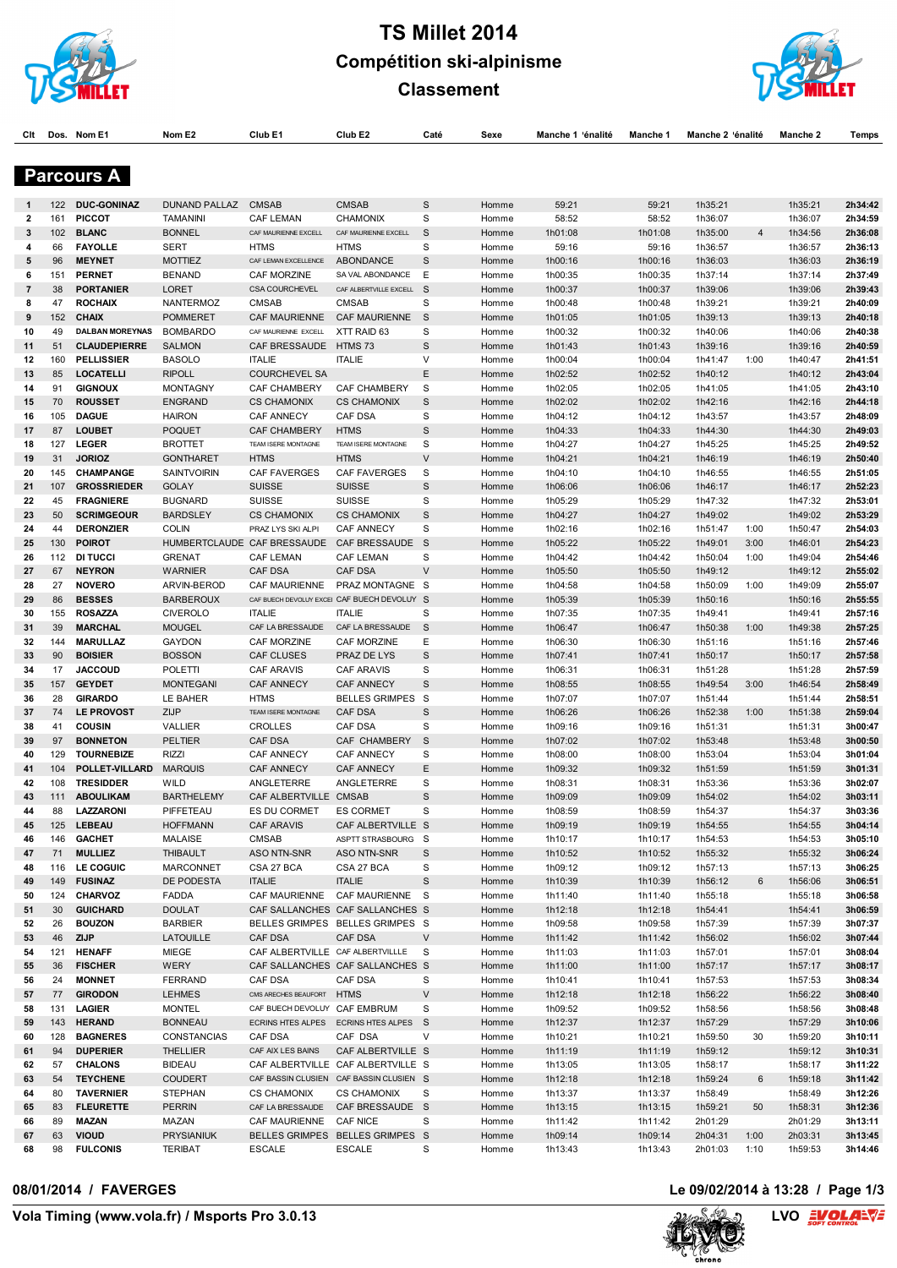

# **TS Millet 2014 Compétition ski-alpinisme**



**Classement**

**Clt Dos. Nom E1 Nom E2 Club E1 Club E2 Caté Sexe Manche 1Pénalité Manche 1 Manche 2Pénalité Manche 2 Temps**

|                |            | <b>Parcours A</b>                      |                                    |                                       |                                             |                  |                |                    |                    |                    |                |                    |                    |
|----------------|------------|----------------------------------------|------------------------------------|---------------------------------------|---------------------------------------------|------------------|----------------|--------------------|--------------------|--------------------|----------------|--------------------|--------------------|
| 1              | 122        | <b>DUC-GONINAZ</b>                     | <b>DUNAND PALLAZ</b>               | <b>CMSAB</b>                          | <b>CMSAB</b>                                | S                | Homme          | 59:21              | 59:21              | 1h35:21            |                | 1h35:21            | 2h34:42            |
| 2              | 161        | <b>PICCOT</b>                          | <b>TAMANINI</b>                    | <b>CAF LEMAN</b>                      | <b>CHAMONIX</b>                             | S                | Homme          | 58:52              | 58:52              | 1h36:07            |                | 1h36:07            | 2h34:59            |
| 3              | 102        | <b>BLANC</b>                           | <b>BONNEL</b>                      | CAF MAURIENNE EXCELL                  | CAF MAURIENNE EXCELL                        | S                | Homme          | 1h01:08            | 1h01:08            | 1h35:00            | $\overline{4}$ | 1h34:56            | 2h36:08            |
| 4              | 66         | <b>FAYOLLE</b>                         | <b>SERT</b>                        | <b>HTMS</b>                           | <b>HTMS</b>                                 | S                | Homme          | 59:16              | 59:16              | 1h36:57            |                | 1h36:57            | 2h36:13            |
| 5              | 96         | <b>MEYNET</b>                          | <b>MOTTIEZ</b>                     | CAF LEMAN EXCELLENCE                  | ABONDANCE                                   | S                | Homme          | 1h00:16            | 1h00:16            | 1h36:03            |                | 1h36:03            | 2h36:19            |
| 6              | 151        | <b>PERNET</b>                          | <b>BENAND</b>                      | CAF MORZINE                           | SA VAL ABONDANCE                            | Ε                | Homme          | 1h00:35            | 1h00:35            | 1h37:14            |                | 1h37:14            | 2h37:49            |
| $\overline{7}$ | 38         | <b>PORTANIER</b>                       | <b>LORET</b>                       | <b>CSA COURCHEVEL</b>                 | CAF ALBERTVILLE EXCELL S                    |                  | Homme          | 1h00:37            | 1h00:37            | 1h39:06            |                | 1h39:06            | 2h39:43            |
| 8              | 47         | <b>ROCHAIX</b>                         | NANTERMOZ                          | CMSAB                                 | <b>CMSAB</b>                                | S                | Homme          | 1h00:48            | 1h00:48            | 1h39:21            |                | 1h39:21            | 2h40:09            |
| 9              | 152        | <b>CHAIX</b><br><b>DALBAN MOREYNAS</b> | <b>POMMERET</b><br><b>BOMBARDO</b> | CAF MAURIENNE                         | CAF MAURIENNE                               | S<br>S           | Homme          | 1h01:05            | 1h01:05            | 1h39:13            |                | 1h39:13            | 2h40:18            |
| 10<br>11       | 49<br>51   | <b>CLAUDEPIERRE</b>                    | <b>SALMON</b>                      | CAF MAURIENNE EXCELL<br>CAF BRESSAUDE | XTT RAID 63<br>HTMS 73                      | $\mathbf S$      | Homme<br>Homme | 1h00:32<br>1h01:43 | 1h00:32<br>1h01:43 | 1h40:06<br>1h39:16 |                | 1h40:06<br>1h39:16 | 2h40:38<br>2h40:59 |
| 12             | 160        | <b>PELLISSIER</b>                      | <b>BASOLO</b>                      | <b>ITALIE</b>                         | <b>ITALIE</b>                               | V                | Homme          | 1h00:04            | 1h00:04            | 1h41:47            | 1:00           | 1h40:47            | 2h41:51            |
| 13             | 85         | <b>LOCATELLI</b>                       | <b>RIPOLL</b>                      | <b>COURCHEVEL SA</b>                  |                                             | E                | Homme          | 1h02:52            | 1h02:52            | 1h40:12            |                | 1h40:12            | 2h43:04            |
| 14             | 91         | <b>GIGNOUX</b>                         | <b>MONTAGNY</b>                    | CAF CHAMBERY                          | CAF CHAMBERY                                | S                | Homme          | 1h02:05            | 1h02:05            | 1h41:05            |                | 1h41:05            | 2h43:10            |
| 15             | 70         | <b>ROUSSET</b>                         | <b>ENGRAND</b>                     | <b>CS CHAMONIX</b>                    | <b>CS CHAMONIX</b>                          | S                | Homme          | 1h02:02            | 1h02:02            | 1h42:16            |                | 1h42:16            | 2h44:18            |
| 16             | 105        | <b>DAGUE</b>                           | <b>HAIRON</b>                      | <b>CAF ANNECY</b>                     | CAF DSA                                     | S                | Homme          | 1h04:12            | 1h04:12            | 1h43:57            |                | 1h43:57            | 2h48:09            |
| 17             | 87         | <b>LOUBET</b>                          | <b>POQUET</b>                      | <b>CAF CHAMBERY</b>                   | <b>HTMS</b>                                 | S                | Homme          | 1h04:33            | 1h04:33            | 1h44:30            |                | 1h44:30            | 2h49:03            |
| 18             | 127        | <b>LEGER</b>                           | <b>BROTTET</b>                     | TEAM ISERE MONTAGNE                   | TEAM ISERE MONTAGNE                         | S                | Homme          | 1h04:27            | 1h04:27            | 1h45:25            |                | 1h45:25            | 2h49:52            |
| 19             | 31         | <b>JORIOZ</b>                          | <b>GONTHARET</b>                   | <b>HTMS</b>                           | <b>HTMS</b>                                 | V                | Homme          | 1h04:21            | 1h04:21            | 1h46:19            |                | 1h46:19            | 2h50:40            |
| 20             | 145        | CHAMPANGE                              | <b>SAINTVOIRIN</b>                 | <b>CAF FAVERGES</b>                   | <b>CAF FAVERGES</b>                         | S                | Homme          | 1h04:10            | 1h04:10            | 1h46:55            |                | 1h46:55            | 2h51:05            |
| 21             | 107        | <b>GROSSRIEDER</b>                     | <b>GOLAY</b>                       | <b>SUISSE</b>                         | <b>SUISSE</b>                               | S                | Homme          | 1h06:06            | 1h06:06            | 1h46:17            |                | 1h46:17            | 2h52:23            |
| 22             | 45         | <b>FRAGNIERE</b>                       | <b>BUGNARD</b>                     | <b>SUISSE</b>                         | <b>SUISSE</b>                               | S                | Homme          | 1h05:29            | 1h05:29            | 1h47:32            |                | 1h47:32            | 2h53:01            |
| 23             | 50         | <b>SCRIMGEOUR</b>                      | <b>BARDSLEY</b>                    | <b>CS CHAMONIX</b>                    | <b>CS CHAMONIX</b>                          | S                | Homme          | 1h04:27            | 1h04:27            | 1h49:02            |                | 1h49:02            | 2h53:29            |
| 24             | 44         | <b>DERONZIER</b>                       | <b>COLIN</b>                       | PRAZ LYS SKI ALPI                     | <b>CAF ANNECY</b>                           | S                | Homme          | 1h02:16            | 1h02:16            | 1h51:47            | 1:00           | 1h50:47            | 2h54:03            |
| 25             | 130        | <b>POIROT</b>                          | HUMBERTCLAUDE CAF BRESSAUDE        |                                       | CAF BRESSAUDE                               | - S              | Homme          | 1h05:22            | 1h05:22            | 1h49:01            | 3:00           | 1h46:01            | 2h54:23            |
| 26             | 112        | <b>DI TUCCI</b>                        | <b>GRENAT</b>                      | CAF LEMAN                             | <b>CAF LEMAN</b>                            | S<br>$\vee$      | Homme          | 1h04:42            | 1h04:42            | 1h50:04            | 1:00           | 1h49:04            | 2h54:46            |
| 27<br>28       | 67<br>27   | <b>NEYRON</b><br><b>NOVERO</b>         | <b>WARNIER</b><br>ARVIN-BEROD      | <b>CAF DSA</b><br>CAF MAURIENNE       | <b>CAF DSA</b><br>PRAZ MONTAGNE S           |                  | Homme          | 1h05:50            | 1h05:50            | 1h49:12            | 1:00           | 1h49:12<br>1h49:09 | 2h55:02<br>2h55:07 |
| 29             | 86         | <b>BESSES</b>                          | <b>BARBEROUX</b>                   |                                       | CAF BUECH DEVOLUY EXCEI CAF BUECH DEVOLUY S |                  | Homme<br>Homme | 1h04:58<br>1h05:39 | 1h04:58<br>1h05:39 | 1h50:09<br>1h50:16 |                | 1h50:16            | 2h55:55            |
| 30             | 155        | <b>ROSAZZA</b>                         | <b>CIVEROLO</b>                    | <b>ITALIE</b>                         | <b>ITALIE</b>                               | S                | Homme          | 1h07:35            | 1h07:35            | 1h49:41            |                | 1h49:41            | 2h57:16            |
| 31             | 39         | <b>MARCHAL</b>                         | <b>MOUGEL</b>                      | CAF LA BRESSAUDE                      | CAF LA BRESSAUDE                            | S                | Homme          | 1h06:47            | 1h06:47            | 1h50:38            | 1:00           | 1h49:38            | 2h57:25            |
| 32             | 144        | <b>MARULLAZ</b>                        | <b>GAYDON</b>                      | CAF MORZINE                           | CAF MORZINE                                 | Ε                | Homme          | 1h06:30            | 1h06:30            | 1h51:16            |                | 1h51:16            | 2h57:46            |
| 33             | 90         | <b>BOISIER</b>                         | <b>BOSSON</b>                      | CAF CLUSES                            | PRAZ DE LYS                                 | S                | Homme          | 1h07:41            | 1h07:41            | 1h50:17            |                | 1h50:17            | 2h57:58            |
| 34             | 17         | <b>JACCOUD</b>                         | POLETTI                            | <b>CAF ARAVIS</b>                     | <b>CAF ARAVIS</b>                           | S                | Homme          | 1h06:31            | 1h06:31            | 1h51:28            |                | 1h51:28            | 2h57:59            |
| 35             | 157        | <b>GEYDET</b>                          | <b>MONTEGANI</b>                   | <b>CAF ANNECY</b>                     | <b>CAF ANNECY</b>                           | S                | Homme          | 1h08:55            | 1h08:55            | 1h49:54            | 3:00           | 1h46:54            | 2h58:49            |
| 36             | 28         | <b>GIRARDO</b>                         | LE BAHER                           | <b>HTMS</b>                           | BELLES GRIMPES S                            |                  | Homme          | 1h07:07            | 1h07:07            | 1h51:44            |                | 1h51:44            | 2h58:51            |
| 37             | 74         | <b>LE PROVOST</b>                      | ZIJP                               | TEAM ISERE MONTAGNE                   | <b>CAF DSA</b>                              | S                | Homme          | 1h06:26            | 1h06:26            | 1h52:38            | 1:00           | 1h51:38            | 2h59:04            |
| 38             | 41         | <b>COUSIN</b>                          | VALLIER                            | <b>CROLLES</b>                        | CAF DSA                                     | S                | Homme          | 1h09:16            | 1h09:16            | 1h51:31            |                | 1h51:31            | 3h00:47            |
| 39             | 97         | <b>BONNETON</b>                        | <b>PELTIER</b>                     | <b>CAF DSA</b>                        | CAF CHAMBERY                                | S                | Homme          | 1h07:02            | 1h07:02            | 1h53:48            |                | 1h53:48            | 3h00:50            |
| 40             | 129        | <b>TOURNEBIZE</b>                      | <b>RIZZI</b>                       | <b>CAF ANNECY</b>                     | <b>CAF ANNECY</b>                           | S                | Homme          | 1h08:00            | 1h08:00            | 1h53:04            |                | 1h53:04            | 3h01:04            |
| 41             | 104        | POLLET-VILLARD                         | <b>MARQUIS</b>                     | <b>CAF ANNECY</b>                     | <b>CAF ANNECY</b>                           | Ε                | Homme          | 1h09:32            | 1h09:32            | 1h51:59            |                | 1h51:59            | 3h01:31            |
| 42             | 108        | <b>TRESIDDER</b>                       | WILD                               | ANGLETERRE<br>CAF ALBERTVILLE CMSAB   | ANGLETERRE                                  | S                | Homme          | 1h08:31            | 1h08:31            | 1h53:36            |                | 1h53:36            | 3h02:07            |
| 43<br>44       | 111<br>88  | <b>ABOULIKAM</b><br>LAZZARONI          | <b>BARTHELEMY</b><br>PIFFETEAU     | ES DU CORMET                          | <b>ES CORMET</b>                            | $\mathbf S$<br>S | Homme<br>Homme | 1h09:09<br>1h08:59 | 1h09:09<br>1h08:59 | 1h54:02<br>1h54:37 |                | 1h54:02<br>1h54:37 | 3h03:11<br>3h03:36 |
|                | 125        | LEBEAU                                 | <b>HOFFMANN</b>                    | CAF ARAVIS                            | CAF ALBERTVILLE S                           |                  | Homme          | 1h09:19            | 1h09:19            | 1h54:55            |                | 1h54:55            | 3h04:14            |
| 46             |            | 146 GACHET                             | <b>MALAISE</b>                     | CMSAB                                 | ASPTT STRASBOURG S                          |                  | Homme          | 1h10:17            | 1h10:17            | 1h54:53            |                | 1h54:53            | 3h05:10            |
| 47             | 71         | <b>MULLIEZ</b>                         | <b>THIBAULT</b>                    | ASO NTN-SNR                           | ASO NTN-SNR                                 | S                | Homme          | 1h10:52            | 1h10:52            | 1h55:32            |                | 1h55:32            | 3h06:24            |
| 48             | 116        | LE COGUIC                              | <b>MARCONNET</b>                   | CSA 27 BCA                            | CSA 27 BCA                                  | S                | Homme          | 1h09:12            | 1h09:12            | 1h57:13            |                | 1h57:13            | 3h06:25            |
| 49             | 149        | <b>FUSINAZ</b>                         | DE PODESTA                         | <b>ITALIE</b>                         | <b>ITALIE</b>                               | $\mathbb S$      | Homme          | 1h10:39            | 1h10:39            | 1h56:12            | 6              | 1h56:06            | 3h06:51            |
| 50             | 124        | <b>CHARVOZ</b>                         | FADDA                              |                                       | CAF MAURIENNE CAF MAURIENNE S               |                  | Homme          | 1h11:40            | 1h11:40            | 1h55:18            |                | 1h55:18            | 3h06:58            |
| 51             | 30         | <b>GUICHARD</b>                        | <b>DOULAT</b>                      |                                       | CAF SALLANCHES CAF SALLANCHES S             |                  | Homme          | 1h12:18            | 1h12:18            | 1h54:41            |                | 1h54:41            | 3h06:59            |
| 52             | 26         | <b>BOUZON</b>                          | <b>BARBIER</b>                     |                                       | BELLES GRIMPES BELLES GRIMPES S             |                  | Homme          | 1h09:58            | 1h09:58            | 1h57:39            |                | 1h57:39            | 3h07:37            |
| 53             | 46         | ZIJP                                   | <b>LATOUILLE</b>                   | CAF DSA                               | CAF DSA                                     | V                | Homme          | 1h11:42            | 1h11:42            | 1h56:02            |                | 1h56:02            | 3h07:44            |
| 54             | 121        | <b>HENAFF</b>                          | MIEGE                              | CAF ALBERTVILLE CAF ALBERTVILLLE      |                                             | <b>S</b>         | Homme          | 1h11:03            | 1h11:03            | 1h57:01            |                | 1h57:01            | 3h08:04            |
| 55             | 36         | <b>FISCHER</b>                         | WERY                               |                                       | CAF SALLANCHES CAF SALLANCHES S             |                  | Homme          | 1h11:00            | 1h11:00            | 1h57:17            |                | 1h57:17            | 3h08:17            |
| 56             | 24         | <b>MONNET</b>                          | <b>FERRAND</b>                     | CAF DSA                               | CAF DSA                                     | S                | Homme          | 1h10:41            | 1h10:41            | 1h57:53            |                | 1h57:53            | 3h08:34            |
| 57             | 77         | <b>GIRODON</b>                         | <b>LEHMES</b>                      | CMS ARECHES BEAUFORT HTMS             |                                             | $\sf V$          | Homme          | 1h12:18            | 1h12:18            | 1h56:22            |                | 1h56:22            | 3h08:40            |
| 58             | 131<br>143 | <b>LAGIER</b><br><b>HERAND</b>         | <b>MONTEL</b><br><b>BONNEAU</b>    | CAF BUECH DEVOLUY CAF EMBRUM          | ECRINS HTES ALPES ECRINS HTES ALPES S       | S                | Homme          | 1h09:52            | 1h09:52<br>1h12:37 | 1h58:56<br>1h57:29 |                | 1h58:56<br>1h57:29 | 3h08:48<br>3h10:06 |
| 59<br>60       | 128        | <b>BAGNERES</b>                        | CONSTANCIAS                        | CAF DSA                               | CAF DSA                                     | V                | Homme<br>Homme | 1h12:37<br>1h10:21 | 1h10:21            | 1h59:50            | 30             | 1h59:20            | 3h10:11            |
| 61             | 94         | <b>DUPERIER</b>                        | <b>THELLIER</b>                    | CAF AIX LES BAINS                     | CAF ALBERTVILLE S                           |                  | Homme          | 1h11:19            | 1h11:19            | 1h59:12            |                | 1h59:12            | 3h10:31            |
| 62             | 57         | <b>CHALONS</b>                         | <b>BIDEAU</b>                      |                                       | CAF ALBERTVILLE CAF ALBERTVILLE S           |                  | Homme          | 1h13:05            | 1h13:05            | 1h58:17            |                | 1h58:17            | 3h11:22            |
| 63             | 54         | <b>TEYCHENE</b>                        | <b>COUDERT</b>                     |                                       | CAF BASSIN CLUSIEN CAF BASSIN CLUSIEN S     |                  | Homme          | 1h12:18            | 1h12:18            | 1h59:24            | 6              | 1h59:18            | 3h11:42            |
| 64             | 80         | <b>TAVERNIER</b>                       | <b>STEPHAN</b>                     | <b>CS CHAMONIX</b>                    | <b>CS CHAMONIX</b>                          | S                | Homme          | 1h13:37            | 1h13:37            | 1h58:49            |                | 1h58:49            | 3h12:26            |
| 65             | 83         | <b>FLEURETTE</b>                       | <b>PERRIN</b>                      |                                       | CAF LA BRESSAUDE CAF BRESSAUDE S            |                  | Homme          | 1h13:15            | 1h13:15            | 1h59:21            | 50             | 1h58:31            | 3h12:36            |
| 66             | 89         | <b>MAZAN</b>                           | MAZAN                              | CAF MAURIENNE CAF NICE                |                                             | S                | Homme          | 1h11:42            | 1h11:42            | 2h01:29            |                | 2h01:29            | 3h13:11            |
| 67             | 63         | <b>VIOUD</b>                           | <b>PRYSIANIUK</b>                  |                                       | BELLES GRIMPES BELLES GRIMPES S             |                  | Homme          | 1h09:14            | 1h09:14            | 2h04:31            | 1:00           | 2h03:31            | 3h13:45            |

98 **FULCONIS** TERIBAT ESCALE ESCALE S Homme 1h13:43 1h13:43 2h01:03 1:10 1h59:53 **3h14:46**

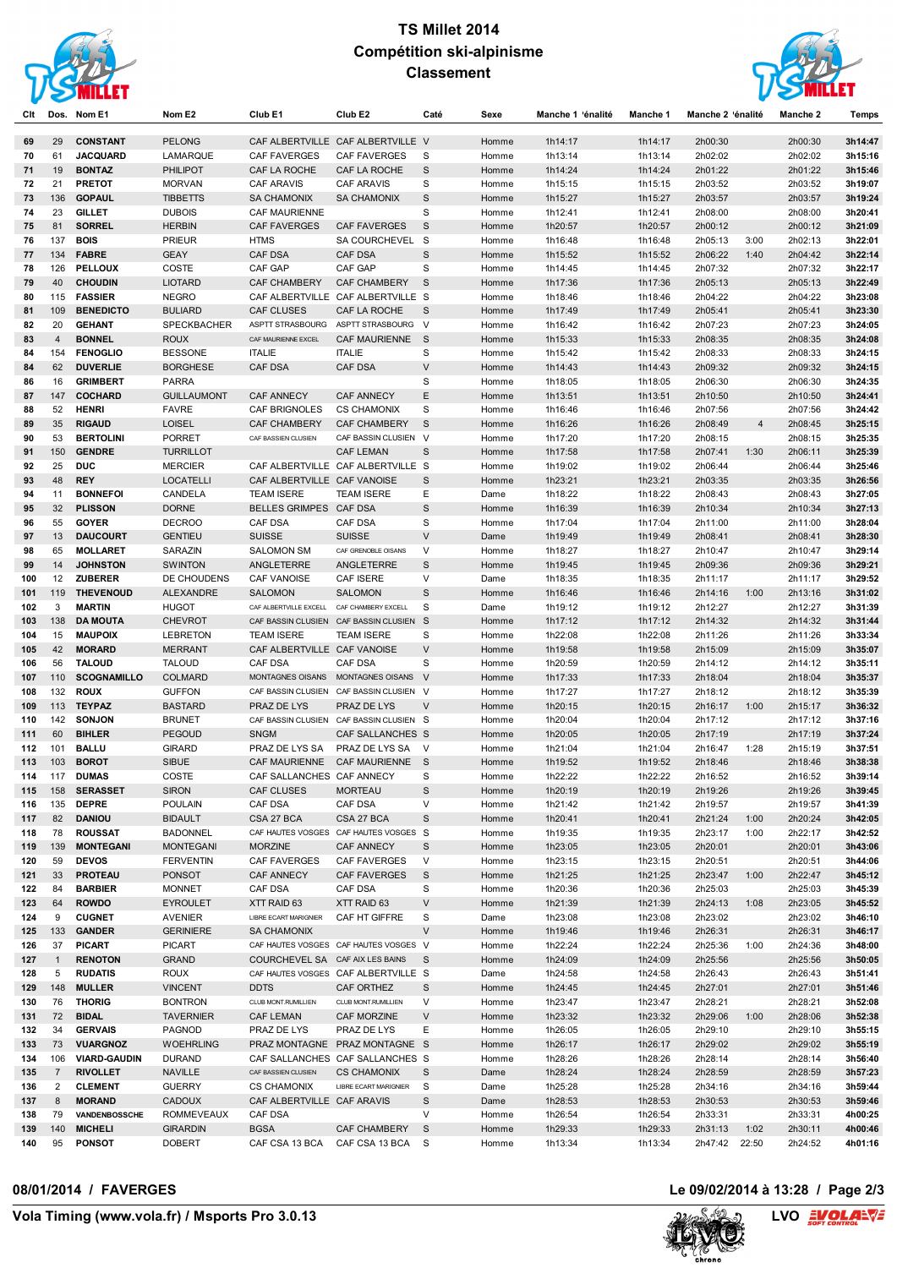

## **TS Millet 2014 Compétition ski-alpinisme Classement**



| Clt | Dos.                | Nom E1                          | Nom E2                             | Club E1                                     | Club E2                                           | Caté         | Sexe  | Manche 1 'énalité  | Manche 1           | Manche 2 'énalité  | <b>Manche 2</b>    | Temps              |
|-----|---------------------|---------------------------------|------------------------------------|---------------------------------------------|---------------------------------------------------|--------------|-------|--------------------|--------------------|--------------------|--------------------|--------------------|
| 69  | 29                  | <b>CONSTANT</b>                 | <b>PELONG</b>                      |                                             | CAF ALBERTVILLE CAF ALBERTVILLE V                 |              | Homme | 1h14:17            | 1h14:17            | 2h00:30            | 2h00:30            | 3h14:47            |
| 70  | 61                  | <b>JACQUARD</b>                 | LAMARQUE                           | <b>CAF FAVERGES</b>                         | <b>CAF FAVERGES</b>                               | S            | Homme | 1h13:14            | 1h13:14            | 2h02:02            | 2h02:02            | 3h15:16            |
| 71  | 19                  | <b>BONTAZ</b>                   | <b>PHILIPOT</b>                    | CAF LA ROCHE                                | CAF LA ROCHE                                      | S            | Homme | 1h14:24            | 1h14:24            | 2h01:22            | 2h01:22            | 3h15:46            |
| 72  | 21                  | <b>PRETOT</b>                   | <b>MORVAN</b>                      | <b>CAF ARAVIS</b>                           | <b>CAF ARAVIS</b>                                 | S            | Homme | 1h15:15            | 1h15:15            | 2h03:52            | 2h03:52            | 3h19:07            |
| 73  | 136                 | <b>GOPAUL</b>                   | <b>TIBBETTS</b>                    | <b>SA CHAMONIX</b>                          | <b>SA CHAMONIX</b>                                | S            | Homme | 1h15:27            | 1h15:27            | 2h03:57            | 2h03:57            | 3h19:24            |
| 74  | 23                  | <b>GILLET</b>                   | <b>DUBOIS</b>                      | <b>CAF MAURIENNE</b>                        |                                                   | S            | Homme | 1h12:41            | 1h12:41            | 2h08:00            | 2h08:00            | 3h20:41            |
| 75  | 81                  | <b>SORREL</b>                   | <b>HERBIN</b>                      | <b>CAF FAVERGES</b>                         | CAF FAVERGES                                      | S            | Homme | 1h20:57            | 1h20:57            | 2h00:12            | 2h00:12            | 3h21:09            |
| 76  | 137                 | <b>BOIS</b>                     | <b>PRIEUR</b>                      | <b>HTMS</b>                                 | SA COURCHEVEL S                                   |              | Homme | 1h16:48            | 1h16:48            | 2h05:13<br>3:00    | 2h02:13            | 3h22:01            |
| 77  | 134                 | <b>FABRE</b>                    | <b>GEAY</b>                        | <b>CAF DSA</b>                              | <b>CAF DSA</b>                                    | $\mathbf S$  | Homme | 1h15:52            | 1h15:52            | 2h06:22<br>1:40    | 2h04:42            | 3h22:14            |
| 78  | 126                 | <b>PELLOUX</b>                  | COSTE                              | CAF GAP                                     | CAF GAP                                           | S            | Homme | 1h14:45            | 1h14:45            | 2h07:32            | 2h07:32            | 3h22:17            |
| 79  | 40                  | <b>CHOUDIN</b>                  | <b>LIOTARD</b>                     | <b>CAF CHAMBERY</b>                         | <b>CAF CHAMBERY</b>                               | S            | Homme | 1h17:36            | 1h17:36            | 2h05:13            | 2h05:13            | 3h22:49            |
| 80  | 115                 | <b>FASSIER</b>                  | <b>NEGRO</b>                       |                                             | CAF ALBERTVILLE CAF ALBERTVILLE S                 |              | Homme | 1h18:46            | 1h18:46            | 2h04:22            | 2h04:22            | 3h23:08            |
| 81  | 109                 | <b>BENEDICTO</b>                | <b>BULIARD</b>                     | <b>CAF CLUSES</b>                           | CAF LA ROCHE                                      | S            | Homme | 1h17:49            | 1h17:49            | 2h05:41            | 2h05:41            | 3h23:30            |
| 82  | 20                  | <b>GEHANT</b>                   | <b>SPECKBACHER</b>                 | ASPTT STRASBOURG                            | ASPTT STRASBOURG V                                |              | Homme | 1h16:42            | 1h16:42            | 2h07:23            | 2h07:23            | 3h24:05            |
| 83  | $\overline{4}$      | <b>BONNEL</b>                   | <b>ROUX</b>                        | CAF MAURIENNE EXCEL                         | CAF MAURIENNE                                     | <sub>S</sub> | Homme | 1h15:33            | 1h15:33            | 2h08:35            | 2h08:35            | 3h24:08            |
| 84  | 154                 | <b>FENOGLIO</b>                 | <b>BESSONE</b>                     | <b>ITALIE</b>                               | <b>ITALIE</b>                                     | S            | Homme | 1h15:42            | 1h15:42            | 2h08:33            | 2h08:33            | 3h24:15            |
| 84  | 62                  | <b>DUVERLIE</b>                 | <b>BORGHESE</b>                    | <b>CAF DSA</b>                              | <b>CAF DSA</b>                                    | V            | Homme | 1h14:43            | 1h14:43            | 2h09:32            | 2h09:32            | 3h24:15            |
| 86  | 16                  | <b>GRIMBERT</b>                 | <b>PARRA</b>                       |                                             |                                                   | S            | Homme | 1h18:05            | 1h18:05            | 2h06:30            | 2h06:30            | 3h24:35            |
| 87  | 147                 | <b>COCHARD</b>                  | <b>GUILLAUMONT</b>                 | <b>CAF ANNECY</b>                           | <b>CAF ANNECY</b>                                 | E            | Homme | 1h13:51            | 1h13:51            | 2h10:50            | 2h10:50            | 3h24:41            |
| 88  | 52                  | <b>HENRI</b>                    | <b>FAVRE</b>                       | <b>CAF BRIGNOLES</b>                        | <b>CS CHAMONIX</b>                                | S            | Homme | 1h16:46            | 1h16:46            | 2h07:56            | 2h07:56            | 3h24:42            |
| 89  | 35                  | <b>RIGAUD</b>                   | <b>LOISEL</b>                      | <b>CAF CHAMBERY</b>                         | <b>CAF CHAMBERY</b>                               | S            | Homme | 1h16:26            | 1h16:26            | 2h08:49<br>4       | 2h08:45            | 3h25:15            |
| 90  | 53                  | <b>BERTOLINI</b>                | <b>PORRET</b>                      | CAF BASSIEN CLUSIEN                         | CAF BASSIN CLUSIEN V                              |              | Homme | 1h17:20            | 1h17:20            | 2h08:15            | 2h08:15            | 3h25:35            |
| 91  | 150                 | <b>GENDRE</b>                   | <b>TURRILLOT</b>                   |                                             | <b>CAF LEMAN</b>                                  | S            | Homme | 1h17:58            | 1h17:58            | 2h07:41<br>1:30    | 2h06:11            | 3h25:39            |
| 92  | 25                  | <b>DUC</b>                      | <b>MERCIER</b>                     |                                             | CAF ALBERTVILLE CAF ALBERTVILLE S                 |              | Homme | 1h19:02            | 1h19:02            | 2h06:44            | 2h06:44            | 3h25:46            |
| 93  | 48                  | <b>REY</b>                      | <b>LOCATELLI</b>                   | CAF ALBERTVILLE CAF VANOISE                 |                                                   | $\mathbf S$  | Homme | 1h23:21            | 1h23:21            | 2h03:35            | 2h03:35            | 3h26:56            |
| 94  | 11                  | <b>BONNEFOI</b>                 | CANDELA                            | <b>TEAM ISERE</b>                           | <b>TEAM ISERE</b>                                 | Ε            | Dame  | 1h18:22            | 1h18:22            | 2h08:43            | 2h08:43            | 3h27:05            |
| 95  | 32                  | <b>PLISSON</b>                  | <b>DORNE</b>                       | BELLES GRIMPES CAF DSA                      |                                                   | $\mathbf S$  | Homme | 1h16:39            | 1h16:39            | 2h10:34            | 2h10:34            | 3h27:13            |
| 96  | 55                  | <b>GOYER</b>                    | <b>DECROO</b>                      | CAF DSA                                     | <b>CAF DSA</b>                                    | S            | Homme | 1h17:04            | 1h17:04            | 2h11:00            | 2h11:00            | 3h28:04            |
| 97  | 13                  | <b>DAUCOURT</b>                 | <b>GENTIEU</b>                     | <b>SUISSE</b>                               | <b>SUISSE</b>                                     | $\vee$       | Dame  | 1h19:49            | 1h19:49            | 2h08:41            | 2h08:41            | 3h28:30            |
| 98  | 65                  | <b>MOLLARET</b>                 | SARAZIN                            | <b>SALOMON SM</b>                           | CAF GRENOBLE OISANS                               | V            | Homme | 1h18:27            | 1h18:27            | 2h10:47            | 2h10:47            | 3h29:14            |
| 99  | 14                  | <b>JOHNSTON</b>                 | <b>SWINTON</b>                     | ANGLETERRE                                  | ANGLETERRE                                        | S            | Homme | 1h19:45            | 1h19:45            | 2h09:36            | 2h09:36            | 3h29:21            |
| 100 | 12                  | <b>ZUBERER</b>                  | DE CHOUDENS                        | CAF VANOISE                                 | CAF ISERE                                         | V            | Dame  | 1h18:35            | 1h18:35            | 2h11:17            | 2h11:17            | 3h29:52            |
| 101 | 119                 | <b>THEVENOUD</b>                | <b>ALEXANDRE</b>                   | <b>SALOMON</b>                              | <b>SALOMON</b>                                    | S            | Homme | 1h16:46            | 1h16:46            | 1:00<br>2h14:16    | 2h13:16            | 3h31:02            |
| 102 | 3                   | <b>MARTIN</b>                   | <b>HUGOT</b>                       | CAF ALBERTVILLE EXCELL                      | CAF CHAMBERY EXCELL                               | S            | Dame  | 1h19:12            | 1h19:12            | 2h12:27            | 2h12:27            | 3h31:39            |
| 103 | 138                 | <b>DA MOUTA</b>                 | <b>CHEVROT</b>                     |                                             | CAF BASSIN CLUSIEN CAF BASSIN CLUSIEN S           |              | Homme | 1h17:12            | 1h17:12            | 2h14:32            | 2h14:32            | 3h31:44            |
| 104 | 15                  | <b>MAUPOIX</b>                  | <b>LEBRETON</b>                    | <b>TEAM ISERE</b>                           | <b>TEAM ISERE</b>                                 | S            | Homme | 1h22:08            | 1h22:08            | 2h11:26            | 2h11:26            | 3h33:34            |
| 105 | 42                  | <b>MORARD</b>                   | <b>MERRANT</b>                     | CAF ALBERTVILLE CAF VANOISE                 |                                                   | $\vee$       | Homme | 1h19:58            | 1h19:58            | 2h15:09            | 2h15:09            | 3h35:07            |
| 106 | 56                  | <b>TALOUD</b>                   | <b>TALOUD</b>                      | <b>CAF DSA</b>                              | CAF DSA                                           | S            | Homme | 1h20:59            | 1h20:59            | 2h14:12            | 2h14:12            | 3h35:11            |
| 107 | 110                 | <b>SCOGNAMILLO</b>              | <b>COLMARD</b>                     | MONTAGNES OISANS                            | MONTAGNES OISANS V                                |              | Homme | 1h17:33            | 1h17:33            | 2h18:04            | 2h18:04            | 3h35:37            |
| 108 | 132                 | <b>ROUX</b>                     | <b>GUFFON</b>                      |                                             | CAF BASSIN CLUSIEN CAF BASSIN CLUSIEN V           |              | Homme | 1h17:27            | 1h17:27            | 2h18:12            | 2h18:12            | 3h35:39            |
| 109 | 113                 | <b>TEYPAZ</b>                   | <b>BASTARD</b>                     | PRAZ DE LYS                                 | PRAZ DE LYS                                       | $\vee$       | Homme | 1h20:15            | 1h20:15            | 1:00<br>2h16:17    | 2h15:17            | 3h36:32            |
| 110 | 142                 | <b>SONJON</b>                   | <b>BRUNET</b>                      |                                             | CAF BASSIN CLUSIEN CAF BASSIN CLUSIEN S           |              | Homme | 1h20:04            | 1h20:04            | 2h17:12            | 2h17:12            | 3h37:16            |
| 111 | 60                  | <b>BIHLER</b>                   | <b>PEGOUD</b>                      | <b>SNGM</b>                                 | CAF SALLANCHES S                                  |              | Homme | 1h20:05            | 1h20:05            | 2h17:19            | 2h17:19            | 3h37:24            |
| 112 | 101                 | <b>BALLU</b>                    | <b>GIRARD</b>                      | PRAZ DE LYS SA                              | PRAZ DE LYS SA V                                  |              | Homme | 1h21:04            | 1h21:04            | 2h16:47<br>1:28    | 2h15:19            | 3h37:51            |
| 113 | 103                 | <b>BOROT</b>                    | <b>SIBUE</b>                       | <b>CAF MAURIENNE</b>                        | CAF MAURIENNE S                                   |              | Homme | 1h19:52            | 1h19:52            | 2h18:46            | 2h18:46            | 3h38:38            |
| 114 | 117                 | <b>DUMAS</b>                    | COSTE                              | CAF SALLANCHES CAF ANNECY                   |                                                   | S            | Homme | 1h22:22            | 1h22:22            | 2h16:52            | 2h16:52            | 3h39:14            |
| 115 | 158                 | <b>SERASSET</b>                 | <b>SIRON</b>                       | CAF CLUSES                                  | <b>MORTEAU</b>                                    | S            | Homme | 1h20:19            | 1h20:19            | 2h19:26            | 2h19:26            | 3h39:45            |
| 116 | 135                 | <b>DEPRE</b>                    | <b>POULAIN</b>                     | CAF DSA                                     | CAF DSA                                           | V            | Homme | 1h21:42            | 1h21:42            | 2h19:57            | 2h19:57            | 3h41:39            |
| 117 | 82                  | <b>DANIOU</b>                   | <b>BIDAULT</b>                     | CSA 27 BCA                                  | CSA 27 BCA                                        | S            | Homme | 1h20:41            | 1h20:41            | 2h21:24<br>1:00    | 2h20:24            | 3h42:05            |
| 118 | 78                  | <b>ROUSSAT</b>                  | <b>BADONNEL</b>                    |                                             | CAF HAUTES VOSGES CAF HAUTES VOSGES S             |              | Homme | 1h19:35            | 1h19:35            | 2h23:17<br>1:00    | 2h22:17            | 3h42:52            |
| 119 | 139                 | <b>MONTEGANI</b>                | <b>MONTEGANI</b>                   | <b>MORZINE</b>                              | <b>CAF ANNECY</b>                                 | S            | Homme | 1h23:05            | 1h23:05            | 2h20:01            | 2h20:01            | 3h43:06            |
| 120 | 59                  | <b>DEVOS</b>                    | <b>FERVENTIN</b>                   | CAF FAVERGES<br><b>CAF ANNECY</b>           | CAF FAVERGES                                      | V            | Homme | 1h23:15            | 1h23:15            | 2h20:51            | 2h20:51            | 3h44:06            |
| 121 | 33                  | <b>PROTEAU</b>                  | <b>PONSOT</b>                      |                                             | CAF FAVERGES                                      | S            | Homme | 1h21:25            | 1h21:25            | 2h23:47<br>1:00    | 2h22:47            | 3h45:12            |
| 122 | 84                  | <b>BARBIER</b>                  | <b>MONNET</b>                      | CAF DSA                                     | CAF DSA                                           | s<br>V       | Homme | 1h20:36            | 1h20:36            | 2h25:03            | 2h25:03            | 3h45:39            |
| 123 | 64                  | <b>ROWDO</b>                    | <b>EYROULET</b>                    | XTT RAID 63<br><b>LIBRE ECART MARIGNIER</b> | XTT RAID 63                                       |              | Homme | 1h21:39            | 1h21:39            | 2h24:13<br>1:08    | 2h23:05            | 3h45:52            |
| 124 | 9<br>133            | <b>CUGNET</b><br><b>GANDER</b>  | AVENIER<br><b>GERINIERE</b>        | <b>SA CHAMONIX</b>                          | CAF HT GIFFRE                                     | S<br>V       | Dame  | 1h23:08<br>1h19:46 | 1h23:08<br>1h19:46 | 2h23:02<br>2h26:31 | 2h23:02<br>2h26:31 | 3h46:10<br>3h46:17 |
| 125 |                     |                                 |                                    |                                             | CAF HAUTES VOSGES CAF HAUTES VOSGES V             |              | Homme |                    |                    |                    |                    |                    |
| 126 | 37                  | <b>PICART</b>                   | <b>PICART</b>                      |                                             |                                                   |              | Homme | 1h22:24            | 1h22:24            | 2h25:36<br>1:00    | 2h24:36            | 3h48:00            |
| 127 | $\overline{1}$<br>5 | <b>RENOTON</b>                  | <b>GRAND</b>                       | COURCHEVEL SA CAF AIX LES BAINS             |                                                   | $\mathbf{s}$ | Homme | 1h24:09            | 1h24:09            | 2h25:56            | 2h25:56            | 3h50:05            |
| 128 | 148                 | <b>RUDATIS</b><br><b>MULLER</b> | <b>ROUX</b><br><b>VINCENT</b>      | <b>DDTS</b>                                 | CAF HAUTES VOSGES CAF ALBERTVILLE S<br>CAF ORTHEZ |              | Dame  | 1h24:58<br>1h24:45 | 1h24:58<br>1h24:45 | 2h26:43<br>2h27:01 | 2h26:43<br>2h27:01 | 3h51:41<br>3h51:46 |
| 129 |                     | <b>THORIG</b>                   | <b>BONTRON</b>                     | CLUB MONT.RUMILLIEN                         | CLUB MONT.RUMILLIEN                               | S<br>V       | Homme | 1h23:47            |                    |                    | 2h28:21            | 3h52:08            |
| 130 | 76<br>72            | <b>BIDAL</b>                    | <b>TAVERNIER</b>                   |                                             |                                                   | V            | Homme |                    | 1h23:47            | 2h28:21            |                    |                    |
| 131 | 34                  | <b>GERVAIS</b>                  | PAGNOD                             | <b>CAF LEMAN</b><br>PRAZ DE LYS             | CAF MORZINE<br>PRAZ DE LYS                        | E            | Homme | 1h23:32            | 1h23:32            | 2h29:06<br>1:00    | 2h28:06<br>2h29:10 | 3h52:38<br>3h55:15 |
| 132 | 73                  |                                 |                                    |                                             |                                                   |              | Homme | 1h26:05            | 1h26:05            | 2h29:10            |                    |                    |
| 133 |                     | <b>VUARGNOZ</b>                 | <b>WOEHRLING</b>                   |                                             | PRAZ MONTAGNE PRAZ MONTAGNE S                     |              | Homme | 1h26:17            | 1h26:17            | 2h29:02            | 2h29:02            | 3h55:19            |
| 134 | 106                 | <b>VIARD-GAUDIN</b>             | <b>DURAND</b>                      | CAF BASSIEN CLUSIEN                         | CAF SALLANCHES CAF SALLANCHES S                   |              | Homme | 1h28:26            | 1h28:26            | 2h28:14            | 2h28:14            | 3h56:40            |
| 135 | $\overline{7}$      | <b>RIVOLLET</b>                 | <b>NAVILLE</b>                     |                                             | <b>CS CHAMONIX</b><br>LIBRE ECART MARIGNIER       | S            | Dame  | 1h28:24            | 1h28:24            | 2h28:59            | 2h28:59            | 3h57:23            |
| 136 | $\overline{2}$      | <b>CLEMENT</b>                  | <b>GUERRY</b>                      | <b>CS CHAMONIX</b>                          |                                                   | S            | Dame  | 1h25:28            | 1h25:28            | 2h34:16            | 2h34:16            | 3h59:44            |
| 137 | 8<br>79             | <b>MORAND</b><br>VANDENBOSSCHE  | <b>CADOUX</b><br><b>ROMMEVEAUX</b> | CAF ALBERTVILLE CAF ARAVIS                  |                                                   | S<br>V       | Dame  | 1h28:53            | 1h28:53            | 2h30:53            | 2h30:53            | 3h59:46            |
| 138 |                     |                                 |                                    | CAF DSA                                     |                                                   |              | Homme | 1h26:54            | 1h26:54            | 2h33:31            | 2h33:31            | 4h00:25            |
| 139 | 140                 | <b>MICHELI</b>                  | <b>GIRARDIN</b>                    | <b>BGSA</b>                                 | CAF CHAMBERY                                      | S            | Homme | 1h29:33            | 1h29:33            | 2h31:13<br>1:02    | 2h30:11            | 4h00:46            |
| 140 | 95                  | <b>PONSOT</b>                   | <b>DOBERT</b>                      | CAF CSA 13 BCA                              | CAF CSA 13 BCA S                                  |              | Homme | 1h13:34            | 1h13:34            | 2h47:42 22:50      | 2h24:52            | 4h01:16            |

**08/01/2014 / FAVERGES Le 09/02/2014 à 13:28 / Page 2/3**

LVO **EVOLA**EVE